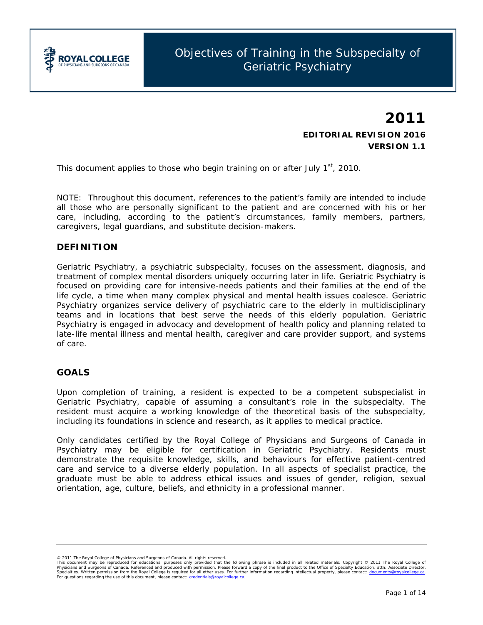

# **2011 EDITORIAL REVISION 2016 VERSION 1.1**

*This document applies to those who begin training on or after July 1st, 2010.*

*NOTE: Throughout this document, references to the patient's family are intended to include all those who are personally significant to the patient and are concerned with his or her care, including, according to the patient's circumstances, family members, partners, caregivers, legal guardians, and substitute decision-makers.*

## **DEFINITION**

Geriatric Psychiatry, a psychiatric subspecialty, focuses on the assessment, diagnosis, and treatment of complex mental disorders uniquely occurring later in life. Geriatric Psychiatry is focused on providing care for intensive-needs patients and their families at the end of the life cycle, a time when many complex physical and mental health issues coalesce. Geriatric Psychiatry organizes service delivery of psychiatric care to the elderly in multidisciplinary teams and in locations that best serve the needs of this elderly population. Geriatric Psychiatry is engaged in advocacy and development of health policy and planning related to late-life mental illness and mental health, caregiver and care provider support, and systems of care.

## **GOALS**

Upon completion of training, a resident is expected to be a competent subspecialist in Geriatric Psychiatry, capable of assuming a consultant's role in the subspecialty. The resident must acquire a working knowledge of the theoretical basis of the subspecialty, including its foundations in science and research, as it applies to medical practice.

Only candidates certified by the Royal College of Physicians and Surgeons of Canada in Psychiatry may be eligible for certification in Geriatric Psychiatry. Residents must demonstrate the requisite knowledge, skills, and behaviours for effective patient-centred care and service to a diverse elderly population. In all aspects of specialist practice, the graduate must be able to address ethical issues and issues of gender, religion, sexual orientation, age, culture, beliefs, and ethnicity in a professional manner.

<sup>© 2011</sup> The Royal College of Physicians and Surgens of Canada. All rights reserved.<br>This document may be reproduced for educational purposes only provided that the following phrase is included in all related materials: *Cop*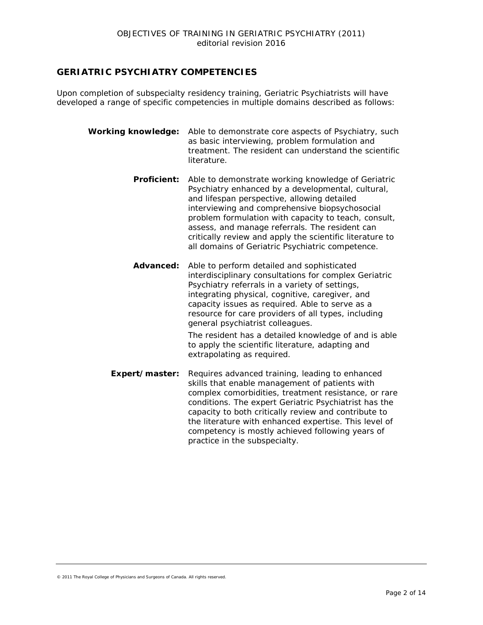## **GERIATRIC PSYCHIATRY COMPETENCIES**

Upon completion of subspecialty residency training, Geriatric Psychiatrists will have developed a range of specific competencies in multiple domains described as follows:

- *Working knowledge:* Able to demonstrate core aspects of Psychiatry, such as basic interviewing, problem formulation and treatment. The resident can understand the scientific literature.
	- **Proficient:** Able to demonstrate working knowledge of Geriatric Psychiatry enhanced by a developmental, cultural, and lifespan perspective, allowing detailed interviewing and comprehensive biopsychosocial problem formulation with capacity to teach, consult, assess, and manage referrals. The resident can critically review and apply the scientific literature to all domains of Geriatric Psychiatric competence.
	- *Advanced:* Able to perform detailed and sophisticated interdisciplinary consultations for complex Geriatric Psychiatry referrals in a variety of settings, integrating physical, cognitive, caregiver, and capacity issues as required. Able to serve as a resource for care providers of all types, including general psychiatrist colleagues.

The resident has a detailed knowledge of and is able to apply the scientific literature, adapting and extrapolating as required.

**Expert/master:** Requires advanced training, leading to enhanced skills that enable management of patients with complex comorbidities, treatment resistance, or rare conditions. The expert Geriatric Psychiatrist has the capacity to both critically review and contribute to the literature with enhanced expertise. This level of competency is mostly achieved following years of practice in the subspecialty.

© 2011 The Royal College of Physicians and Surgeons of Canada. All rights reserved.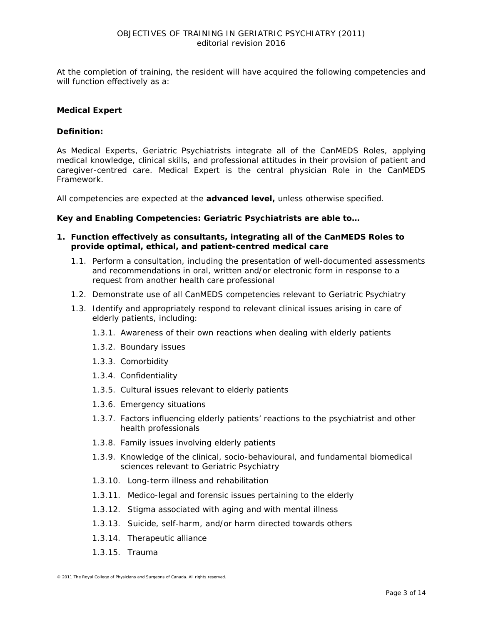At the completion of training, the resident will have acquired the following competencies and will function effectively as a:

## **Medical Expert**

#### *Definition:*

As *Medical Experts*, Geriatric Psychiatrists integrate all of the CanMEDS Roles, applying medical knowledge, clinical skills, and professional attitudes in their provision of patient and caregiver-centred care. *Medical Expert* is the central physician Role in the CanMEDS Framework.

All competencies are expected at the *advanced level***,** unless otherwise specified.

#### *Key and Enabling Competencies: Geriatric Psychiatrists are able to…*

- **1. Function effectively as consultants, integrating all of the CanMEDS Roles to provide optimal, ethical, and patient-centred medical care**
	- 1.1. Perform a consultation, including the presentation of well-documented assessments and recommendations in oral, written and/or electronic form in response to a request from another health care professional
	- 1.2. Demonstrate use of all CanMEDS competencies relevant to Geriatric Psychiatry
	- 1.3. Identify and appropriately respond to relevant clinical issues arising in care of elderly patients, including:
		- 1.3.1. Awareness of their own reactions when dealing with elderly patients
		- 1.3.2. Boundary issues
		- 1.3.3. Comorbidity
		- 1.3.4. Confidentiality
		- 1.3.5. Cultural issues relevant to elderly patients
		- 1.3.6. Emergency situations
		- 1.3.7. Factors influencing elderly patients' reactions to the psychiatrist and other health professionals
		- 1.3.8. Family issues involving elderly patients
		- 1.3.9. Knowledge of the clinical, socio-behavioural, and fundamental biomedical sciences relevant to Geriatric Psychiatry
		- 1.3.10. Long-term illness and rehabilitation
		- 1.3.11. Medico-legal and forensic issues pertaining to the elderly
		- 1.3.12. Stigma associated with aging and with mental illness
		- 1.3.13. Suicide, self-harm, and/or harm directed towards others
		- 1.3.14. Therapeutic alliance
		- 1.3.15. Trauma

<sup>© 2011</sup> The Royal College of Physicians and Surgeons of Canada. All rights reserved.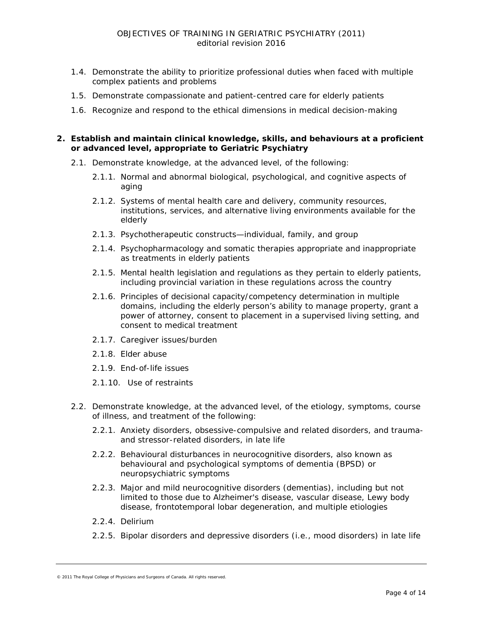- 1.4. Demonstrate the ability to prioritize professional duties when faced with multiple complex patients and problems
- 1.5. Demonstrate compassionate and patient-centred care for elderly patients
- 1.6. Recognize and respond to the ethical dimensions in medical decision-making

## **2. Establish and maintain clinical knowledge, skills, and behaviours at a** *proficient* **or** *advanced level***, appropriate to Geriatric Psychiatry**

- 2.1. Demonstrate knowledge, at the *advanced level*, of the following:
	- 2.1.1. Normal and abnormal biological, psychological, and cognitive aspects of aging
	- 2.1.2. Systems of mental health care and delivery, community resources, institutions, services, and alternative living environments available for the elderly
	- 2.1.3. Psychotherapeutic constructs—individual, family, and group
	- 2.1.4. Psychopharmacology and somatic therapies appropriate and inappropriate as treatments in elderly patients
	- 2.1.5. Mental health legislation and regulations as they pertain to elderly patients, including provincial variation in these regulations across the country
	- 2.1.6. Principles of decisional capacity/competency determination in multiple domains, including the elderly person's ability to manage property, grant a power of attorney, consent to placement in a supervised living setting, and consent to medical treatment
	- 2.1.7. Caregiver issues/burden
	- 2.1.8. Elder abuse
	- 2.1.9. End-of-life issues
	- 2.1.10. Use of restraints
- 2.2. Demonstrate knowledge, at the *advanced level*, of the etiology, symptoms, course of illness, and treatment of the following:
	- 2.2.1. Anxiety disorders, obsessive-compulsive and related disorders, and traumaand stressor-related disorders, in late life
	- 2.2.2. Behavioural disturbances in neurocognitive disorders, also known as behavioural and psychological symptoms of dementia (BPSD) or neuropsychiatric symptoms
	- 2.2.3. Major and mild neurocognitive disorders (dementias), including but not limited to those due to Alzheimer's disease, vascular disease, Lewy body disease, frontotemporal lobar degeneration, and multiple etiologies
	- 2.2.4. Delirium
	- 2.2.5. Bipolar disorders and depressive disorders (i.e., mood disorders) in late life

<sup>© 2011</sup> The Royal College of Physicians and Surgeons of Canada. All rights reserved.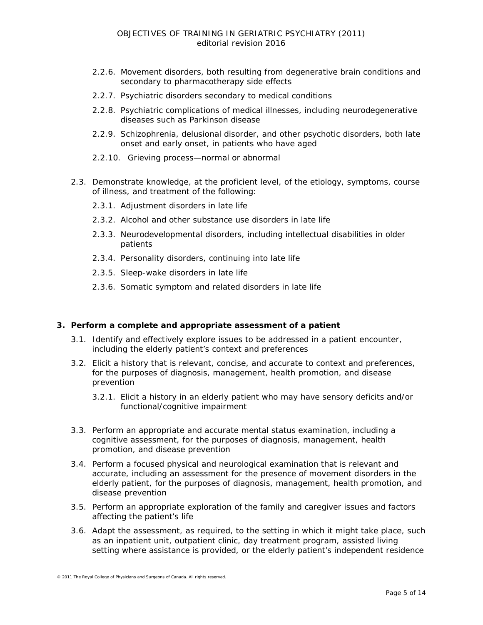- 2.2.6. Movement disorders, both resulting from degenerative brain conditions and secondary to pharmacotherapy side effects
- 2.2.7. Psychiatric disorders secondary to medical conditions
- 2.2.8. Psychiatric complications of medical illnesses, including neurodegenerative diseases such as Parkinson disease
- 2.2.9. Schizophrenia, delusional disorder, and other psychotic disorders, both late onset and early onset, in patients who have aged
- 2.2.10. Grieving process—normal or abnormal
- 2.3. Demonstrate knowledge, at the *proficient level*, of the etiology, symptoms, course of illness, and treatment of the following:
	- 2.3.1. Adjustment disorders in late life
	- 2.3.2. Alcohol and other substance use disorders in late life
	- 2.3.3. Neurodevelopmental disorders, including intellectual disabilities in older patients
	- 2.3.4. Personality disorders, continuing into late life
	- 2.3.5. Sleep-wake disorders in late life
	- 2.3.6. Somatic symptom and related disorders in late life

#### **3. Perform a complete and appropriate assessment of a patient**

- 3.1. Identify and effectively explore issues to be addressed in a patient encounter, including the elderly patient's context and preferences
- 3.2. Elicit a history that is relevant, concise, and accurate to context and preferences, for the purposes of diagnosis, management, health promotion, and disease prevention
	- 3.2.1. Elicit a history in an elderly patient who may have sensory deficits and/or functional/cognitive impairment
- 3.3. Perform an appropriate and accurate mental status examination, including a cognitive assessment, for the purposes of diagnosis, management, health promotion, and disease prevention
- 3.4. Perform a focused physical and neurological examination that is relevant and accurate, including an assessment for the presence of movement disorders in the elderly patient, for the purposes of diagnosis, management, health promotion, and disease prevention
- 3.5. Perform an appropriate exploration of the family and caregiver issues and factors affecting the patient's life
- 3.6. Adapt the assessment, as required, to the setting in which it might take place, such as an inpatient unit, outpatient clinic, day treatment program, assisted living setting where assistance is provided, or the elderly patient's independent residence

<sup>© 2011</sup> The Royal College of Physicians and Surgeons of Canada. All rights reserved.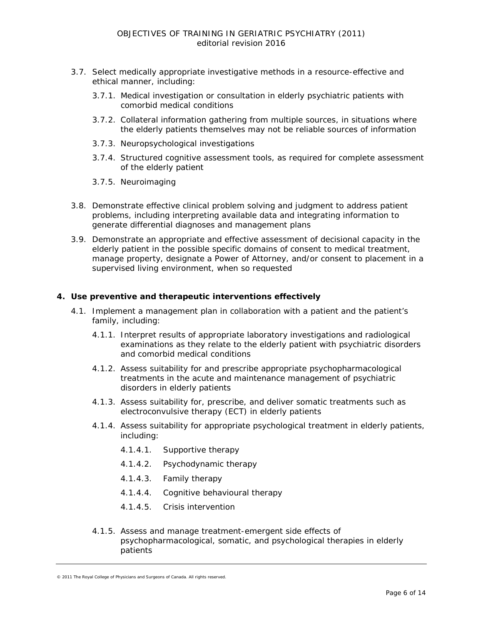- 3.7. Select medically appropriate investigative methods in a resource-effective and ethical manner, including:
	- 3.7.1. Medical investigation or consultation in elderly psychiatric patients with comorbid medical conditions
	- 3.7.2. Collateral information gathering from multiple sources, in situations where the elderly patients themselves may not be reliable sources of information
	- 3.7.3. Neuropsychological investigations
	- 3.7.4. Structured cognitive assessment tools, as required for complete assessment of the elderly patient
	- 3.7.5. Neuroimaging
- 3.8. Demonstrate effective clinical problem solving and judgment to address patient problems, including interpreting available data and integrating information to generate differential diagnoses and management plans
- 3.9. Demonstrate an appropriate and effective assessment of decisional capacity in the elderly patient in the possible specific domains of consent to medical treatment, manage property, designate a Power of Attorney, and/or consent to placement in a supervised living environment, when so requested

#### **4. Use preventive and therapeutic interventions effectively**

- 4.1. Implement a management plan in collaboration with a patient and the patient's family, including:
	- 4.1.1. Interpret results of appropriate laboratory investigations and radiological examinations as they relate to the elderly patient with psychiatric disorders and comorbid medical conditions
	- 4.1.2. Assess suitability for and prescribe appropriate psychopharmacological treatments in the acute and maintenance management of psychiatric disorders in elderly patients
	- 4.1.3. Assess suitability for, prescribe, and deliver somatic treatments such as electroconvulsive therapy (ECT) in elderly patients
	- 4.1.4. Assess suitability for appropriate psychological treatment in elderly patients, including:
		- 4.1.4.1. Supportive therapy
		- 4.1.4.2. Psychodynamic therapy
		- 4.1.4.3. Family therapy
		- 4.1.4.4. Cognitive behavioural therapy
		- 4.1.4.5. Crisis intervention
	- 4.1.5. Assess and manage treatment-emergent side effects of psychopharmacological, somatic, and psychological therapies in elderly patients

<sup>© 2011</sup> The Royal College of Physicians and Surgeons of Canada. All rights reserved.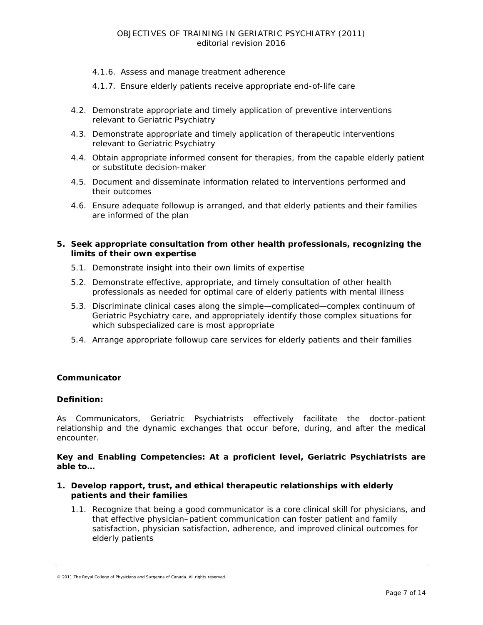- 4.1.6. Assess and manage treatment adherence
- 4.1.7. Ensure elderly patients receive appropriate end-of-life care
- 4.2. Demonstrate appropriate and timely application of preventive interventions relevant to Geriatric Psychiatry
- 4.3. Demonstrate appropriate and timely application of therapeutic interventions relevant to Geriatric Psychiatry
- 4.4. Obtain appropriate informed consent for therapies, from the capable elderly patient or substitute decision-maker
- 4.5. Document and disseminate information related to interventions performed and their outcomes
- 4.6. Ensure adequate followup is arranged, and that elderly patients and their families are informed of the plan

## **5. Seek appropriate consultation from other health professionals, recognizing the limits of their own expertise**

- 5.1. Demonstrate insight into their own limits of expertise
- 5.2. Demonstrate effective, appropriate, and timely consultation of other health professionals as needed for optimal care of elderly patients with mental illness
- 5.3. Discriminate clinical cases along the simple—complicated—complex continuum of Geriatric Psychiatry care, and appropriately identify those complex situations for which subspecialized care is most appropriate
- 5.4. Arrange appropriate followup care services for elderly patients and their families

## **Communicator**

## *Definition:*

As *Communicators*, Geriatric Psychiatrists effectively facilitate the doctor-patient relationship and the dynamic exchanges that occur before, during, and after the medical encounter.

*Key and Enabling Competencies: At a proficient level, Geriatric Psychiatrists are able to…*

#### **1. Develop rapport, trust, and ethical therapeutic relationships with elderly patients and their families**

1.1. Recognize that being a good communicator is a core clinical skill for physicians, and that effective physician–patient communication can foster patient and family satisfaction, physician satisfaction, adherence, and improved clinical outcomes for elderly patients

<sup>© 2011</sup> The Royal College of Physicians and Surgeons of Canada. All rights reserved.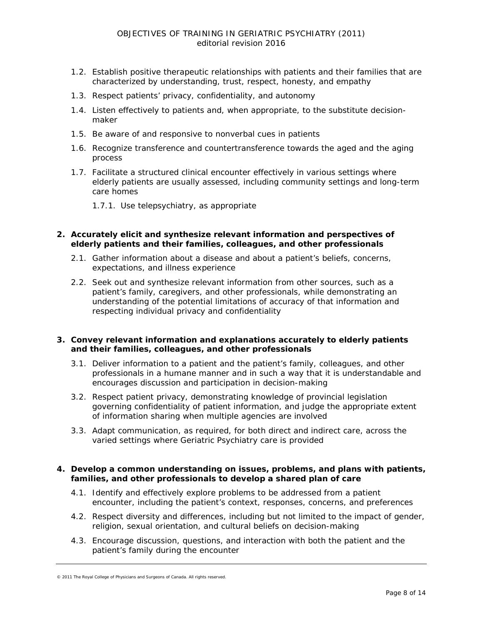- 1.2. Establish positive therapeutic relationships with patients and their families that are characterized by understanding, trust, respect, honesty, and empathy
- 1.3. Respect patients' privacy, confidentiality, and autonomy
- 1.4. Listen effectively to patients and, when appropriate, to the substitute decisionmaker
- 1.5. Be aware of and responsive to nonverbal cues in patients
- 1.6. Recognize transference and countertransference towards the aged and the aging process
- 1.7. Facilitate a structured clinical encounter effectively in various settings where elderly patients are usually assessed, including community settings and long-term care homes
	- 1.7.1. Use telepsychiatry, as appropriate

#### **2. Accurately elicit and synthesize relevant information and perspectives of elderly patients and their families, colleagues, and other professionals**

- 2.1. Gather information about a disease and about a patient's beliefs, concerns, expectations, and illness experience
- 2.2. Seek out and synthesize relevant information from other sources, such as a patient's family, caregivers, and other professionals, while demonstrating an understanding of the potential limitations of accuracy of that information and respecting individual privacy and confidentiality

#### **3. Convey relevant information and explanations accurately to elderly patients and their families, colleagues, and other professionals**

- 3.1. Deliver information to a patient and the patient's family, colleagues, and other professionals in a humane manner and in such a way that it is understandable and encourages discussion and participation in decision-making
- 3.2. Respect patient privacy, demonstrating knowledge of provincial legislation governing confidentiality of patient information, and judge the appropriate extent of information sharing when multiple agencies are involved
- 3.3. Adapt communication, as required, for both direct and indirect care, across the varied settings where Geriatric Psychiatry care is provided

#### **4. Develop a common understanding on issues, problems, and plans with patients, families, and other professionals to develop a shared plan of care**

- 4.1. Identify and effectively explore problems to be addressed from a patient encounter, including the patient's context, responses, concerns, and preferences
- 4.2. Respect diversity and differences, including but not limited to the impact of gender, religion, sexual orientation, and cultural beliefs on decision-making
- 4.3. Encourage discussion, questions, and interaction with both the patient and the patient's family during the encounter

<sup>© 2011</sup> The Royal College of Physicians and Surgeons of Canada. All rights reserved.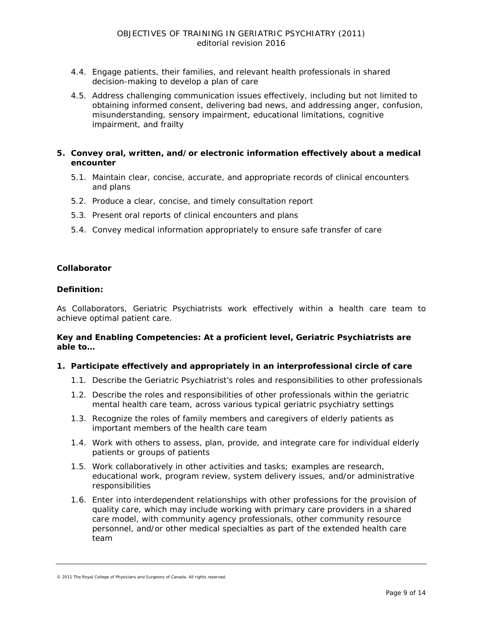- 4.4. Engage patients, their families, and relevant health professionals in shared decision-making to develop a plan of care
- 4.5. Address challenging communication issues effectively, including but not limited to obtaining informed consent, delivering bad news, and addressing anger, confusion, misunderstanding, sensory impairment, educational limitations, cognitive impairment, and frailty

#### **5. Convey oral, written, and/or electronic information effectively about a medical encounter**

- 5.1. Maintain clear, concise, accurate, and appropriate records of clinical encounters and plans
- 5.2. Produce a clear, concise, and timely consultation report
- 5.3. Present oral reports of clinical encounters and plans
- 5.4. Convey medical information appropriately to ensure safe transfer of care

#### **Collaborator**

#### *Definition:*

As *Collaborators*, Geriatric Psychiatrists work effectively within a health care team to achieve optimal patient care.

#### *Key and Enabling Competencies: At a proficient level, Geriatric Psychiatrists are able to…*

#### **1. Participate effectively and appropriately in an interprofessional circle of care**

- 1.1. Describe the Geriatric Psychiatrist's roles and responsibilities to other professionals
- 1.2. Describe the roles and responsibilities of other professionals within the geriatric mental health care team, across various typical geriatric psychiatry settings
- 1.3. Recognize the roles of family members and caregivers of elderly patients as important members of the health care team
- 1.4. Work with others to assess, plan, provide, and integrate care for individual elderly patients or groups of patients
- 1.5. Work collaboratively in other activities and tasks; examples are research, educational work, program review, system delivery issues, and/or administrative responsibilities
- 1.6. Enter into interdependent relationships with other professions for the provision of quality care, which may include working with primary care providers in a shared care model, with community agency professionals, other community resource personnel, and/or other medical specialties as part of the extended health care team

<sup>© 2011</sup> The Royal College of Physicians and Surgeons of Canada. All rights reserved.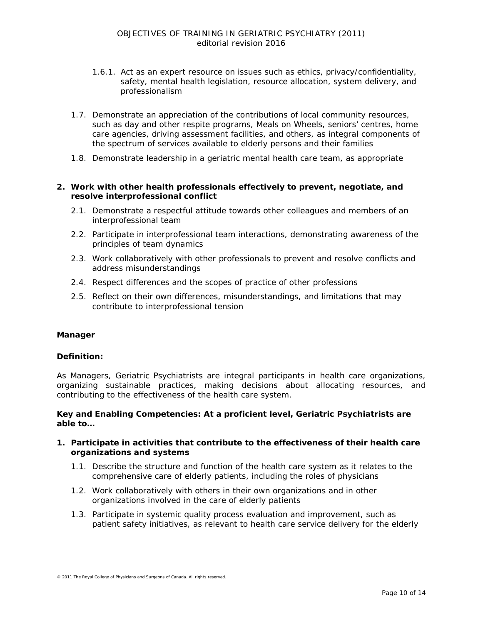- 1.6.1. Act as an expert resource on issues such as ethics, privacy/confidentiality, safety, mental health legislation, resource allocation, system delivery, and professionalism
- 1.7. Demonstrate an appreciation of the contributions of local community resources, such as day and other respite programs, Meals on Wheels, seniors' centres, home care agencies, driving assessment facilities, and others, as integral components of the spectrum of services available to elderly persons and their families
- 1.8. Demonstrate leadership in a geriatric mental health care team, as appropriate

## **2. Work with other health professionals effectively to prevent, negotiate, and resolve interprofessional conflict**

- 2.1. Demonstrate a respectful attitude towards other colleagues and members of an interprofessional team
- 2.2. Participate in interprofessional team interactions, demonstrating awareness of the principles of team dynamics
- 2.3. Work collaboratively with other professionals to prevent and resolve conflicts and address misunderstandings
- 2.4. Respect differences and the scopes of practice of other professions
- 2.5. Reflect on their own differences, misunderstandings, and limitations that may contribute to interprofessional tension

## **Manager**

#### *Definition:*

As *Managers*, Geriatric Psychiatrists are integral participants in health care organizations, organizing sustainable practices, making decisions about allocating resources, and contributing to the effectiveness of the health care system.

#### *Key and Enabling Competencies: At a proficient level, Geriatric Psychiatrists are able to…*

#### **1. Participate in activities that contribute to the effectiveness of their health care organizations and systems**

- 1.1. Describe the structure and function of the health care system as it relates to the comprehensive care of elderly patients, including the roles of physicians
- 1.2. Work collaboratively with others in their own organizations and in other organizations involved in the care of elderly patients
- 1.3. Participate in systemic quality process evaluation and improvement, such as patient safety initiatives, as relevant to health care service delivery for the elderly

<sup>© 2011</sup> The Royal College of Physicians and Surgeons of Canada. All rights reserved.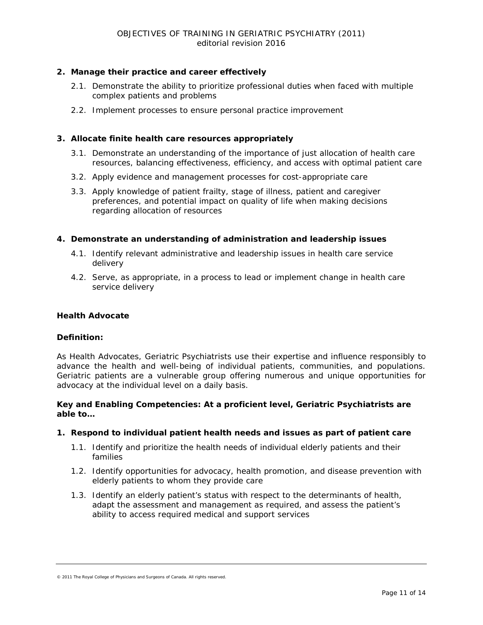## **2. Manage their practice and career effectively**

- 2.1. Demonstrate the ability to prioritize professional duties when faced with multiple complex patients and problems
- 2.2. Implement processes to ensure personal practice improvement

## **3. Allocate finite health care resources appropriately**

- 3.1. Demonstrate an understanding of the importance of just allocation of health care resources, balancing effectiveness, efficiency, and access with optimal patient care
- 3.2. Apply evidence and management processes for cost-appropriate care
- 3.3. Apply knowledge of patient frailty, stage of illness, patient and caregiver preferences, and potential impact on quality of life when making decisions regarding allocation of resources

## **4. Demonstrate an understanding of administration and leadership issues**

- 4.1. Identify relevant administrative and leadership issues in health care service delivery
- 4.2. Serve, as appropriate, in a process to lead or implement change in health care service delivery

## **Health Advocate**

## *Definition:*

As *Health Advocates,* Geriatric Psychiatrists use their expertise and influence responsibly to advance the health and well-being of individual patients, communities, and populations. Geriatric patients are a vulnerable group offering numerous and unique opportunities for advocacy at the individual level on a daily basis.

#### *Key and Enabling Competencies: At a proficient level, Geriatric Psychiatrists are able to…*

## **1. Respond to individual patient health needs and issues as part of patient care**

- 1.1. Identify and prioritize the health needs of individual elderly patients and their families
- 1.2. Identify opportunities for advocacy, health promotion, and disease prevention with elderly patients to whom they provide care
- 1.3. Identify an elderly patient's status with respect to the determinants of health, adapt the assessment and management as required, and assess the patient's ability to access required medical and support services

<sup>© 2011</sup> The Royal College of Physicians and Surgeons of Canada. All rights reserved.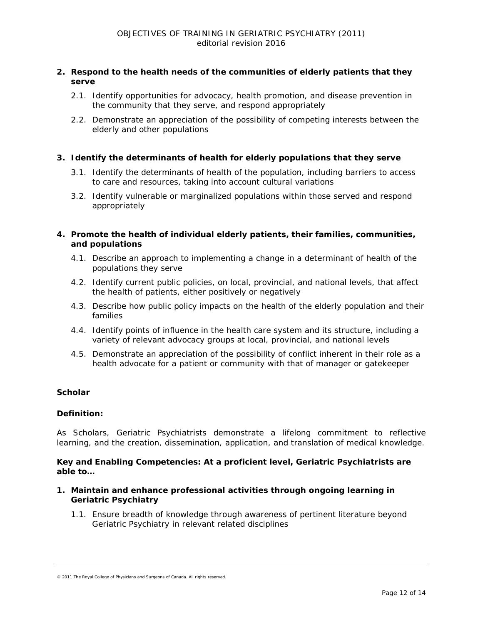## **2. Respond to the health needs of the communities of elderly patients that they serve**

- 2.1. Identify opportunities for advocacy, health promotion, and disease prevention in the community that they serve, and respond appropriately
- 2.2. Demonstrate an appreciation of the possibility of competing interests between the elderly and other populations

## **3. Identify the determinants of health for elderly populations that they serve**

- 3.1. Identify the determinants of health of the population, including barriers to access to care and resources, taking into account cultural variations
- 3.2. Identify vulnerable or marginalized populations within those served and respond appropriately

## **4. Promote the health of individual elderly patients, their families, communities, and populations**

- 4.1. Describe an approach to implementing a change in a determinant of health of the populations they serve
- 4.2. Identify current public policies, on local, provincial, and national levels, that affect the health of patients, either positively or negatively
- 4.3. Describe how public policy impacts on the health of the elderly population and their families
- 4.4. Identify points of influence in the health care system and its structure, including a variety of relevant advocacy groups at local, provincial, and national levels
- 4.5. Demonstrate an appreciation of the possibility of conflict inherent in their role as a health advocate for a patient or community with that of manager or gatekeeper

## **Scholar**

## *Definition:*

As *Scholars*, Geriatric Psychiatrists demonstrate a lifelong commitment to reflective learning, and the creation, dissemination, application, and translation of medical knowledge.

#### *Key and Enabling Competencies: At a proficient level, Geriatric Psychiatrists are able to…*

- **1. Maintain and enhance professional activities through ongoing learning in Geriatric Psychiatry**
	- 1.1. Ensure breadth of knowledge through awareness of pertinent literature beyond Geriatric Psychiatry in relevant related disciplines

<sup>© 2011</sup> The Royal College of Physicians and Surgeons of Canada. All rights reserved.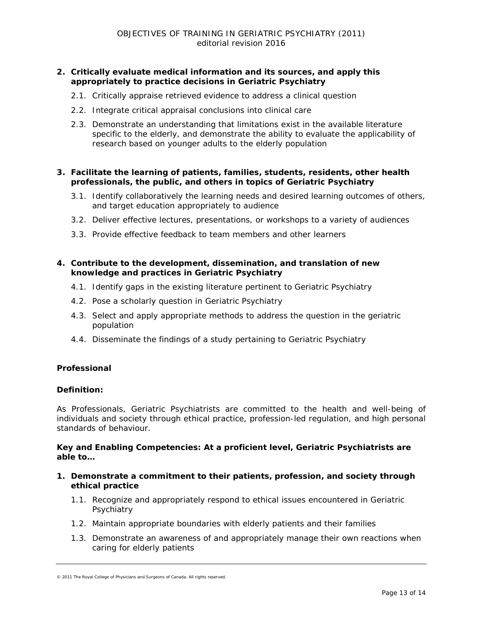## **2. Critically evaluate medical information and its sources, and apply this appropriately to practice decisions in Geriatric Psychiatry**

- 2.1. Critically appraise retrieved evidence to address a clinical question
- 2.2. Integrate critical appraisal conclusions into clinical care
- 2.3. Demonstrate an understanding that limitations exist in the available literature specific to the elderly, and demonstrate the ability to evaluate the applicability of research based on younger adults to the elderly population

## **3. Facilitate the learning of patients, families, students, residents, other health professionals, the public, and others in topics of Geriatric Psychiatry**

- 3.1. Identify collaboratively the learning needs and desired learning outcomes of others, and target education appropriately to audience
- 3.2. Deliver effective lectures, presentations, or workshops to a variety of audiences
- 3.3. Provide effective feedback to team members and other learners

## **4. Contribute to the development, dissemination, and translation of new knowledge and practices in Geriatric Psychiatry**

- 4.1. Identify gaps in the existing literature pertinent to Geriatric Psychiatry
- 4.2. Pose a scholarly question in Geriatric Psychiatry
- 4.3. Select and apply appropriate methods to address the question in the geriatric population
- 4.4. Disseminate the findings of a study pertaining to Geriatric Psychiatry

## **Professional**

#### *Definition:*

As *Professionals*, Geriatric Psychiatrists are committed to the health and well-being of individuals and society through ethical practice, profession-led regulation, and high personal standards of behaviour.

## *Key and Enabling Competencies: At a proficient level, Geriatric Psychiatrists are able to…*

- **1. Demonstrate a commitment to their patients, profession, and society through ethical practice**
	- 1.1. Recognize and appropriately respond to ethical issues encountered in Geriatric Psychiatry
	- 1.2. Maintain appropriate boundaries with elderly patients and their families
	- 1.3. Demonstrate an awareness of and appropriately manage their own reactions when caring for elderly patients

<sup>© 2011</sup> The Royal College of Physicians and Surgeons of Canada. All rights reserved.